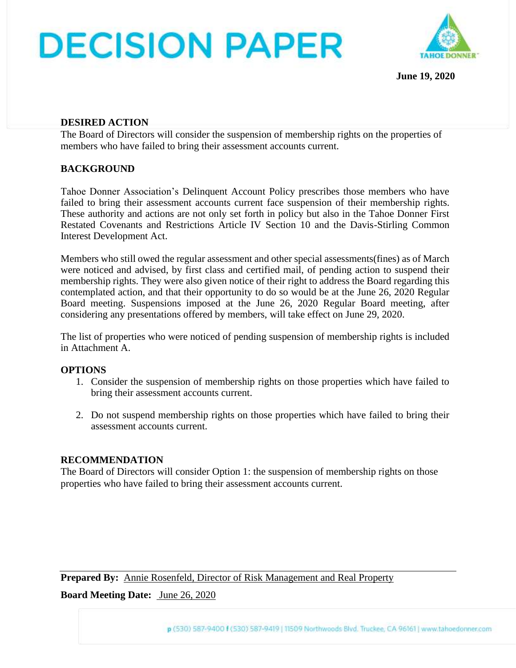# **DECISION PAPER**



**June 19, 2020**

#### **DESIRED ACTION**

The Board of Directors will consider the suspension of membership rights on the properties of members who have failed to bring their assessment accounts current.

#### **BACKGROUND**

Tahoe Donner Association's Delinquent Account Policy prescribes those members who have failed to bring their assessment accounts current face suspension of their membership rights. These authority and actions are not only set forth in policy but also in the Tahoe Donner First Restated Covenants and Restrictions Article IV Section 10 and the Davis-Stirling Common Interest Development Act.

Members who still owed the regular assessment and other special assessments(fines) as of March were noticed and advised, by first class and certified mail, of pending action to suspend their membership rights. They were also given notice of their right to address the Board regarding this contemplated action, and that their opportunity to do so would be at the June 26, 2020 Regular Board meeting. Suspensions imposed at the June 26, 2020 Regular Board meeting, after considering any presentations offered by members, will take effect on June 29, 2020.

The list of properties who were noticed of pending suspension of membership rights is included in Attachment A.

#### **OPTIONS**

- 1. Consider the suspension of membership rights on those properties which have failed to bring their assessment accounts current.
- 2. Do not suspend membership rights on those properties which have failed to bring their assessment accounts current.

#### **RECOMMENDATION**

The Board of Directors will consider Option 1: the suspension of membership rights on those properties who have failed to bring their assessment accounts current.

**Prepared By:** Annie Rosenfeld, Director of Risk Management and Real Property **Board Meeting Date:** June 26, 2020